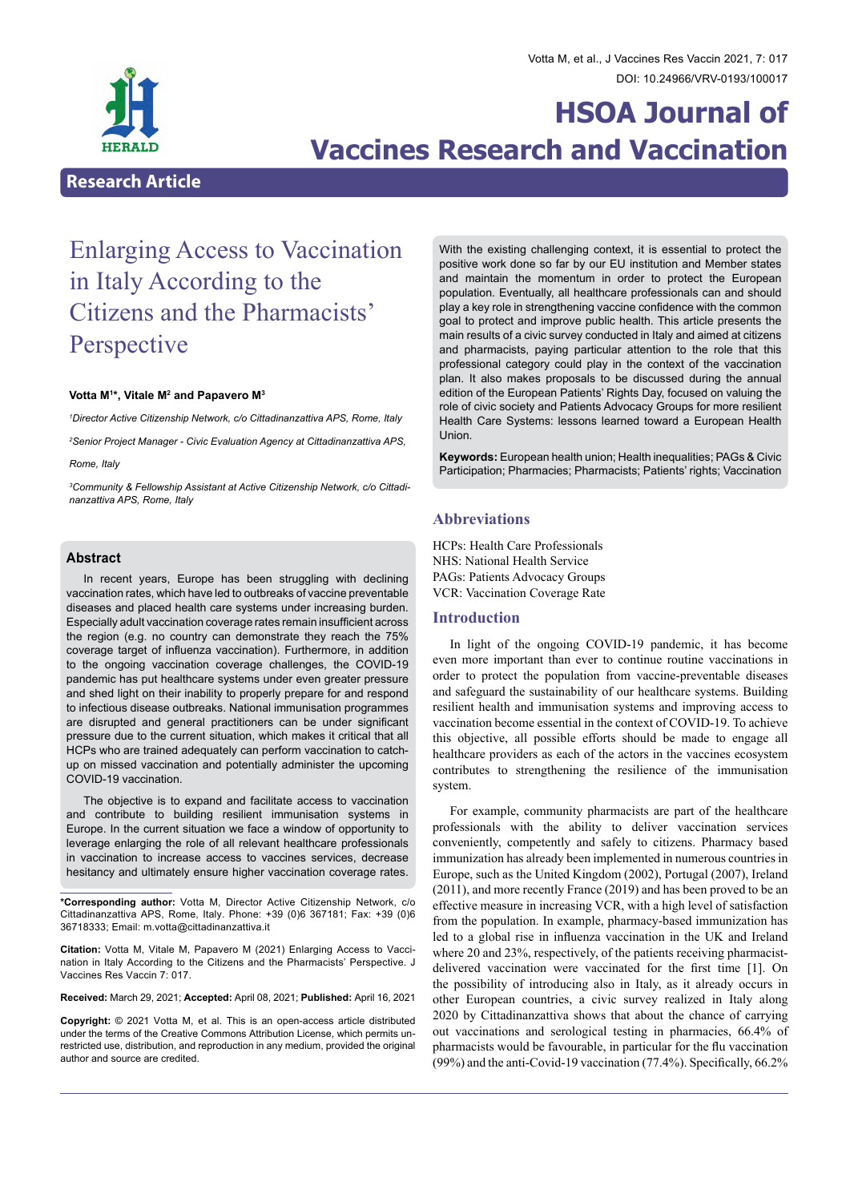

# **HSOA Journal of Vaccines Research and Vaccination**

## **Research Article**

## Enlarging Access to Vaccination in Italy According to the Citizens and the Pharmacists' Perspective

### **Votta M1 \*, Vitale M2 and Papavero M3**

*1 Director Active Citizenship Network, c/o Cittadinanzattiva APS, Rome, Italy*

*2 Senior Project Manager - Civic Evaluation Agency at Cittadinanzattiva APS,* 

#### *Rome, Italy*

*3 Community & Fellowship Assistant at Active Citizenship Network, c/o Cittadinanzattiva APS, Rome, Italy*

## **Abstract**

In recent years, Europe has been struggling with declining vaccination rates, which have led to outbreaks of vaccine preventable diseases and placed health care systems under increasing burden. Especially adult vaccination coverage rates remain insufficient across the region (e.g. no country can demonstrate they reach the 75% coverage target of influenza vaccination). Furthermore, in addition to the ongoing vaccination coverage challenges, the COVID-19 pandemic has put healthcare systems under even greater pressure and shed light on their inability to properly prepare for and respond to infectious disease outbreaks. National immunisation programmes are disrupted and general practitioners can be under significant pressure due to the current situation, which makes it critical that all HCPs who are trained adequately can perform vaccination to catchup on missed vaccination and potentially administer the upcoming COVID-19 vaccination.

The objective is to expand and facilitate access to vaccination and contribute to building resilient immunisation systems in Europe. In the current situation we face a window of opportunity to leverage enlarging the role of all relevant healthcare professionals in vaccination to increase access to vaccines services, decrease hesitancy and ultimately ensure higher vaccination coverage rates.

**\*Corresponding author:** Votta M, Director Active Citizenship Network, c/o Cittadinanzattiva APS, Rome, Italy. Phone: +39 (0)6 367181; Fax: +39 (0)6 36718333; Email: m.votta@cittadinanzattiva.it

**Citation:** Votta M, Vitale M, Papavero M (2021) Enlarging Access to Vacci- nation in Italy According to the Citizens and the Pharmacists' Perspective. J Vaccines Res Vaccin 7: 017.

**Received:** March 29, 2021; **Accepted:** April 08, 2021; **Published:** April 16, 2021

**Copyright:** © 2021 Votta M, et al. This is an open-access article distributed under the terms of the Creative Commons Attribution License, which permits un- restricted use, distribution, and reproduction in any medium, provided the original author and source are credited.

With the existing challenging context, it is essential to protect the positive work done so far by our EU institution and Member states and maintain the momentum in order to protect the European population. Eventually, all healthcare professionals can and should play a key role in strengthening vaccine confidence with the common goal to protect and improve public health. This article presents the main results of a civic survey conducted in Italy and aimed at citizens and pharmacists, paying particular attention to the role that this professional category could play in the context of the vaccination plan. It also makes proposals to be discussed during the annual edition of the European Patients' Rights Day, focused on valuing the role of civic society and Patients Advocacy Groups for more resilient Health Care Systems: lessons learned toward a European Health Union.

**Keywords:** European health union; Health inequalities; PAGs & Civic Participation; Pharmacies; Pharmacists; Patients' rights; Vaccination

#### **Abbreviations**

HCPs: Health Care Professionals NHS: National Health Service PAGs: Patients Advocacy Groups VCR: Vaccination Coverage Rate

## **Introduction**

In light of the ongoing COVID-19 pandemic, it has become even more important than ever to continue routine vaccinations in order to protect the population from vaccine-preventable diseases and safeguard the sustainability of our healthcare systems. Building resilient health and immunisation systems and improving access to vaccination become essential in the context of COVID-19. To achieve this objective, all possible efforts should be made to engage all healthcare providers as each of the actors in the vaccines ecosystem contributes to strengthening the resilience of the immunisation system.

For example, community pharmacists are part of the healthcare professionals with the ability to deliver vaccination services conveniently, competently and safely to citizens. Pharmacy based immunization has already been implemented in numerous countries in Europe, such as the United Kingdom (2002), Portugal (2007), Ireland (2011), and more recently France (2019) and has been proved to be an effective measure in increasing VCR, with a high level of satisfaction from the population. In example, pharmacy-based immunization has led to a global rise in influenza vaccination in the UK and Ireland where 20 and 23%, respectively, of the patients receiving pharmacistdelivered vaccination were vaccinated for the first time [1]. On the possibility of introducing also in Italy, as it already occurs in other European countries, a civic survey realized in Italy along 2020 by Cittadinanzattiva shows that about the chance of carrying out vaccinations and serological testing in pharmacies, 66.4% of pharmacists would be favourable, in particular for the flu vaccination (99%) and the anti-Covid-19 vaccination (77.4%). Specifically, 66.2%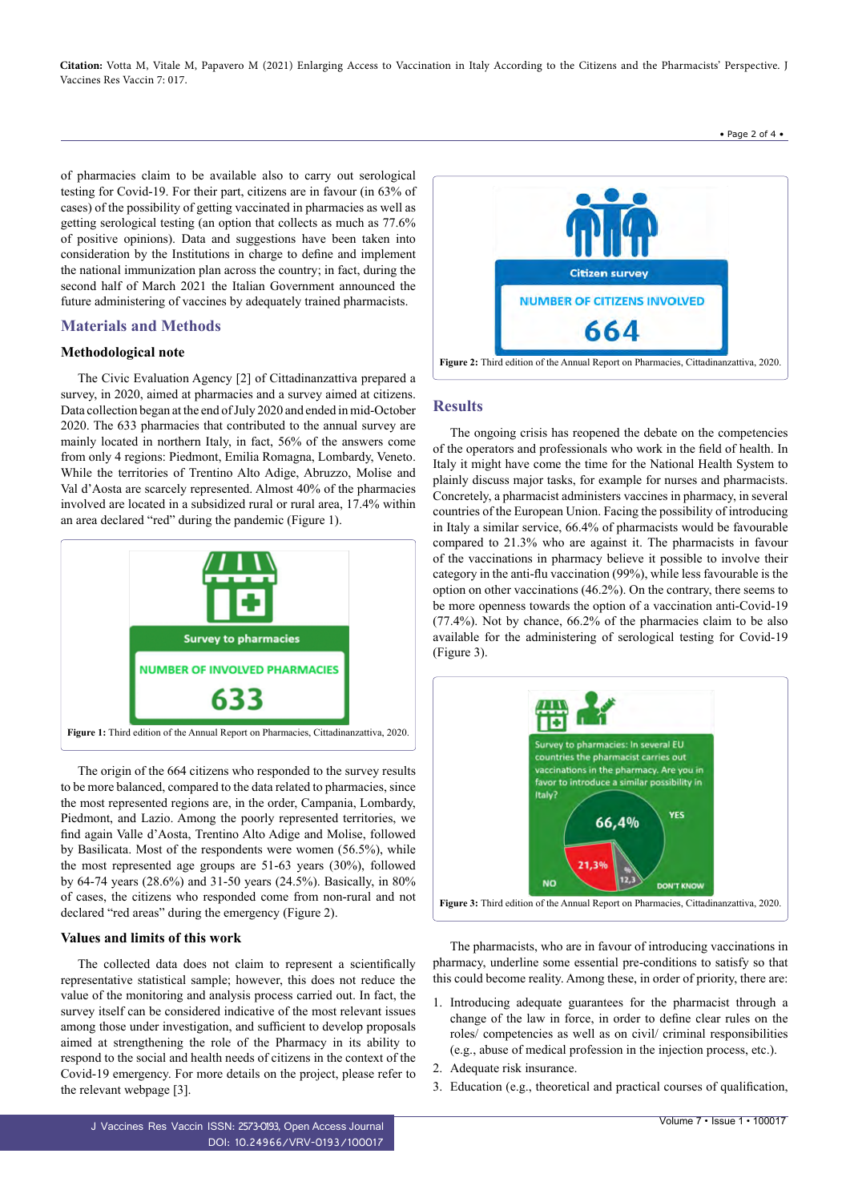**Citation:** Votta M, Vitale M, Papavero M (2021) Enlarging Access to Vaccination in Italy According to the Citizens and the Pharmacists' Perspective. J Vaccines Res Vaccin 7: 017.

• Page 2 of 4 •

of pharmacies claim to be available also to carry out serological testing for Covid-19. For their part, citizens are in favour (in 63% of cases) of the possibility of getting vaccinated in pharmacies as well as getting serological testing (an option that collects as much as 77.6% of positive opinions). Data and suggestions have been taken into consideration by the Institutions in charge to define and implement the national immunization plan across the country; in fact, during the second half of March 2021 the Italian Government announced the future administering of vaccines by adequately trained pharmacists.

## **Materials and Methods**

## **Methodological note**

The Civic Evaluation Agency [2] of Cittadinanzattiva prepared a survey, in 2020, aimed at pharmacies and a survey aimed at citizens. Data collection began at the end of July 2020 and ended in mid-October 2020. The 633 pharmacies that contributed to the annual survey are mainly located in northern Italy, in fact, 56% of the answers come from only 4 regions: Piedmont, Emilia Romagna, Lombardy, Veneto. While the territories of Trentino Alto Adige, Abruzzo, Molise and Val d'Aosta are scarcely represented. Almost 40% of the pharmacies involved are located in a subsidized rural or rural area, 17.4% within an area declared "red" during the pandemic (Figure 1).



The origin of the 664 citizens who responded to the survey results to be more balanced, compared to the data related to pharmacies, since the most represented regions are, in the order, Campania, Lombardy, Piedmont, and Lazio. Among the poorly represented territories, we find again Valle d'Aosta, Trentino Alto Adige and Molise, followed by Basilicata. Most of the respondents were women (56.5%), while the most represented age groups are 51-63 years (30%), followed by 64-74 years (28.6%) and 31-50 years (24.5%). Basically, in 80% of cases, the citizens who responded come from non-rural and not declared "red areas" during the emergency (Figure 2).

#### **Values and limits of this work**

The collected data does not claim to represent a scientifically representative statistical sample; however, this does not reduce the value of the monitoring and analysis process carried out. In fact, the survey itself can be considered indicative of the most relevant issues among those under investigation, and sufficient to develop proposals aimed at strengthening the role of the Pharmacy in its ability to respond to the social and health needs of citizens in the context of the Covid-19 emergency. For more details on the project, please refer to the relevant webpage [3].

J Vaccines Res Vaccin ISSN: 2573-0193, Open Access Journal DOI: [10.24966/VRV-0193/10001](http://dx.doi.org/10.24966/VRV-0193/100017)7



### **Results**

The ongoing crisis has reopened the debate on the competencies of the operators and professionals who work in the field of health. In Italy it might have come the time for the National Health System to plainly discuss major tasks, for example for nurses and pharmacists. Concretely, a pharmacist administers vaccines in pharmacy, in several countries of the European Union. Facing the possibility of introducing in Italy a similar service, 66.4% of pharmacists would be favourable compared to 21.3% who are against it. The pharmacists in favour of the vaccinations in pharmacy believe it possible to involve their category in the anti-flu vaccination (99%), while less favourable is the option on other vaccinations (46.2%). On the contrary, there seems to be more openness towards the option of a vaccination anti-Covid-19 (77.4%). Not by chance, 66.2% of the pharmacies claim to be also available for the administering of serological testing for Covid-19 (Figure 3).



The pharmacists, who are in favour of introducing vaccinations in pharmacy, underline some essential pre-conditions to satisfy so that this could become reality. Among these, in order of priority, there are:

- 1. Introducing adequate guarantees for the pharmacist through a change of the law in force, in order to define clear rules on the roles/ competencies as well as on civil/ criminal responsibilities (e.g., abuse of medical profession in the injection process, etc.).
- 2. Adequate risk insurance.
- 3. Education (e.g., theoretical and practical courses of qualification,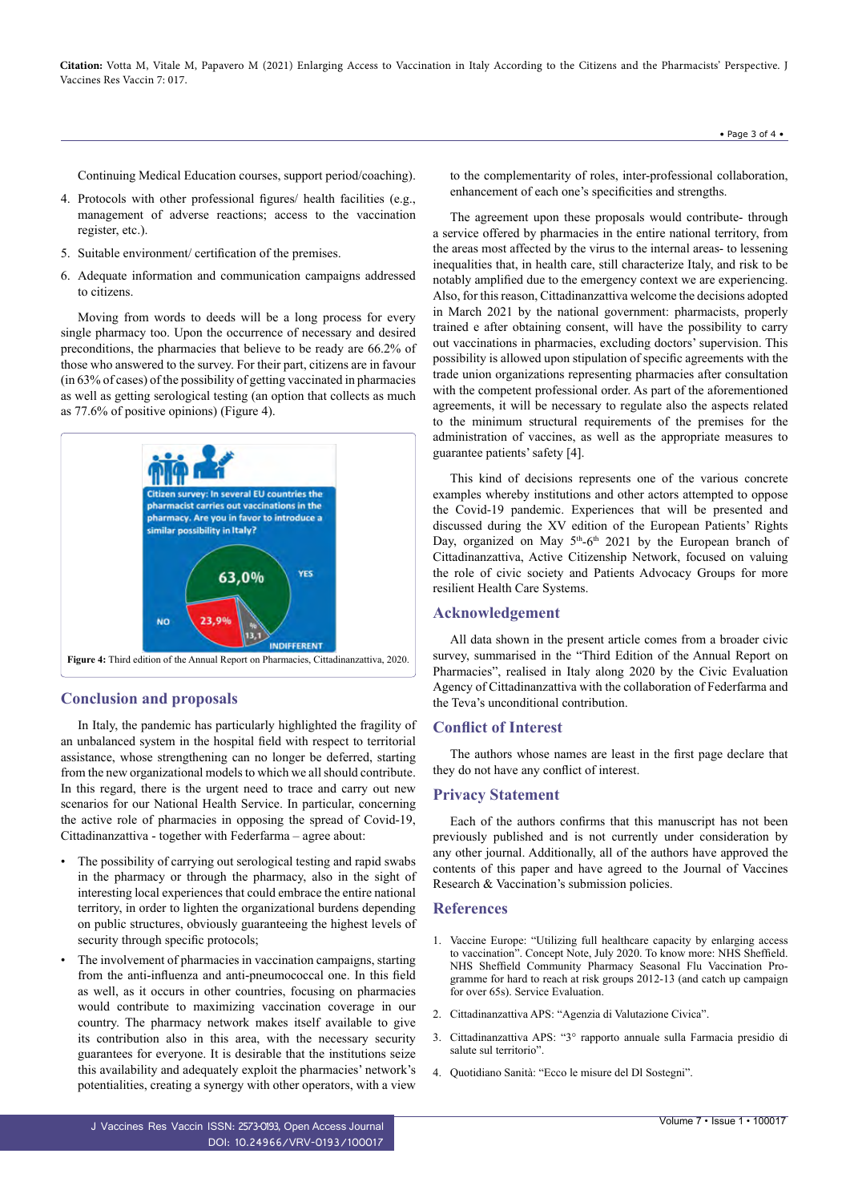**Citation:** Votta M, Vitale M, Papavero M (2021) Enlarging Access to Vaccination in Italy According to the Citizens and the Pharmacists' Perspective. J Vaccines Res Vaccin 7: 017.

Continuing Medical Education courses, support period/coaching).

- 4. Protocols with other professional figures/ health facilities (e.g., management of adverse reactions; access to the vaccination register, etc.).
- 5. Suitable environment/ certification of the premises.
- 6. Adequate information and communication campaigns addressed to citizens.

Moving from words to deeds will be a long process for every single pharmacy too. Upon the occurrence of necessary and desired preconditions, the pharmacies that believe to be ready are 66.2% of those who answered to the survey. For their part, citizens are in favour (in 63% of cases) of the possibility of getting vaccinated in pharmacies as well as getting serological testing (an option that collects as much as 77.6% of positive opinions) (Figure 4).



## **Conclusion and proposals**

In Italy, the pandemic has particularly highlighted the fragility of an unbalanced system in the hospital field with respect to territorial assistance, whose strengthening can no longer be deferred, starting from the new organizational models to which we all should contribute. In this regard, there is the urgent need to trace and carry out new scenarios for our National Health Service. In particular, concerning the active role of pharmacies in opposing the spread of Covid-19, Cittadinanzattiva - together with Federfarma – agree about:

- The possibility of carrying out serological testing and rapid swabs in the pharmacy or through the pharmacy, also in the sight of interesting local experiences that could embrace the entire national territory, in order to lighten the organizational burdens depending on public structures, obviously guaranteeing the highest levels of security through specific protocols;
- The involvement of pharmacies in vaccination campaigns, starting from the anti-influenza and anti-pneumococcal one. In this field as well, as it occurs in other countries, focusing on pharmacies would contribute to maximizing vaccination coverage in our country. The pharmacy network makes itself available to give its contribution also in this area, with the necessary security guarantees for everyone. It is desirable that the institutions seize this availability and adequately exploit the pharmacies' network's potentialities, creating a synergy with other operators, with a view

to the complementarity of roles, inter-professional collaboration, enhancement of each one's specificities and strengths.

The agreement upon these proposals would contribute- through a service offered by pharmacies in the entire national territory, from the areas most affected by the virus to the internal areas- to lessening inequalities that, in health care, still characterize Italy, and risk to be notably amplified due to the emergency context we are experiencing. Also, for this reason, Cittadinanzattiva welcome the decisions adopted in March 2021 by the national government: pharmacists, properly trained e after obtaining consent, will have the possibility to carry out vaccinations in pharmacies, excluding doctors' supervision. This possibility is allowed upon stipulation of specific agreements with the trade union organizations representing pharmacies after consultation with the competent professional order. As part of the aforementioned agreements, it will be necessary to regulate also the aspects related to the minimum structural requirements of the premises for the administration of vaccines, as well as the appropriate measures to guarantee patients' safety [4].

This kind of decisions represents one of the various concrete examples whereby institutions and other actors attempted to oppose the Covid-19 pandemic. Experiences that will be presented and discussed during the XV edition of the European Patients' Rights Day, organized on May 5<sup>th</sup>-6<sup>th</sup> 2021 by the European branch of Cittadinanzattiva, Active Citizenship Network, focused on valuing the role of civic society and Patients Advocacy Groups for more resilient Health Care Systems.

#### **Acknowledgement**

All data shown in the present article comes from a broader civic survey, summarised in the "Third Edition of [the Annual Report on](https://www.cittadinanzattiva.it/comunicati/salute/13128-ii-annual-report-on-pharmacy-presented.html) [Pharmacies"](https://www.cittadinanzattiva.it/comunicati/salute/13128-ii-annual-report-on-pharmacy-presented.html), realised in Italy along 2020 by the Civic Evaluation Agency of Cittadinanzattiva with the collaboration of Federfarma and the Teva's unconditional contribution.

## **Conflict of Interest**

The authors whose names are least in the first page declare that they do not have any conflict of interest.

### **Privacy Statement**

Each of the authors confirms that this manuscript has not been previously published and is not currently under consideration by any other journal. Additionally, all of the authors have approved the contents of this paper and have agreed to the Journal of Vaccines Research & Vaccination's submission policies.

#### **References**

- 1. [Vaccine Europe: "Utilizing full healthcare capacity by enlarging access](http://psnc.org.uk/sheffield-lpc/wp-content/uploads/sites/79/2013/06/I-Evaluation-of-Pharmacy-Flu-Service-2012-13-1.pdf) [to vaccination". Concept Note, July 2020. To know more: NHS Sheffield.](http://psnc.org.uk/sheffield-lpc/wp-content/uploads/sites/79/2013/06/I-Evaluation-of-Pharmacy-Flu-Service-2012-13-1.pdf) [NHS Sheffield Community Pharmacy Seasonal Flu Vaccination Pro](http://psnc.org.uk/sheffield-lpc/wp-content/uploads/sites/79/2013/06/I-Evaluation-of-Pharmacy-Flu-Service-2012-13-1.pdf)[gramme for hard to reach at risk groups 2012-13 \(and catch up campaign](http://psnc.org.uk/sheffield-lpc/wp-content/uploads/sites/79/2013/06/I-Evaluation-of-Pharmacy-Flu-Service-2012-13-1.pdf) [for over 65s\). Service Evaluation.](http://psnc.org.uk/sheffield-lpc/wp-content/uploads/sites/79/2013/06/I-Evaluation-of-Pharmacy-Flu-Service-2012-13-1.pdf)
- 2. [Cittadinanzattiva APS: "Agenzia di Valutazione Civica".](http://www.cittadinanzattiva.it/corporate/attivismo-civico/1912-agenzia-di-valutazione-civica.html)
- 3. [Cittadinanzattiva APS: "3° rapporto annuale sulla Farmacia presidio di](http://www.cittadinanzattiva.it/progetti-e-campagne/salute/13492-3-rapporto-annuale-sulla-farmacia-presidio-di-salute-sul-territorio.html) [salute sul territorio".](http://www.cittadinanzattiva.it/progetti-e-campagne/salute/13492-3-rapporto-annuale-sulla-farmacia-presidio-di-salute-sul-territorio.html)
- 4. [Quotidiano Sanità: "Ecco le misure del Dl Sostegni".](http://www.quotidianosanita.it/governo-e-parlamento/articolo.php?articolo_id=93755)